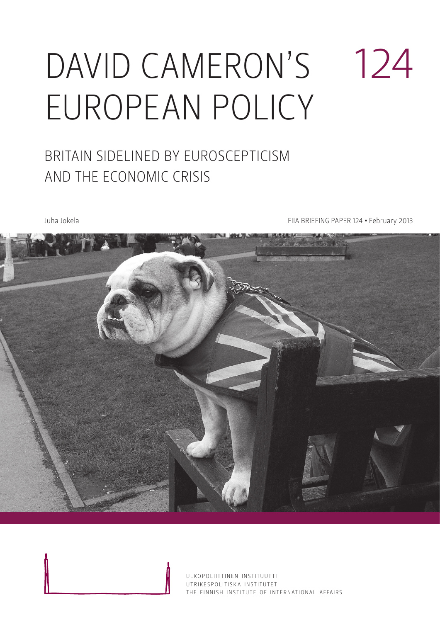# DAVID CAMERON'S European policy 124

### Britain sidelined by Euroscepticism and the economic crisis

Juha Jokela **FIIA BRIEFING PAPER 124 • February 2013** 



ULKOPOLIITTINEN INSTITUUTTI UTRIKESPOLITISK A INSTITUTET THE FINNISH INSTITUTE OF INTERNATIONAL AFFAIRS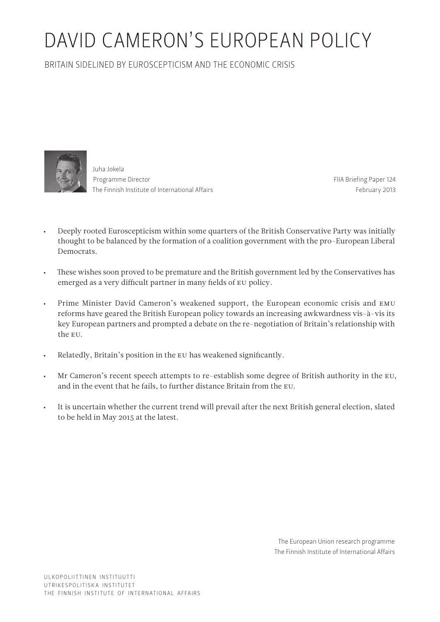## David Cameron's European policy

Britain sidelined by Euroscepticism and the economic crisis



Juha Jokela Programme Director The Finnish Institute of International Affairs

FIIA Briefing Paper 124 February 2013

- Deeply rooted Euroscepticism within some quarters of the British Conservative Party was initially thought to be balanced by the formation of a coalition government with the pro-European Liberal **Democrats**
- • These wishes soon proved to be premature and the British government led by the Conservatives has emerged as a very difficult partner in many fields of EU policy.
- Prime Minister David Cameron's weakened support, the European economic crisis and EMU reforms have geared the British European policy towards an increasing awkwardness vis-à-vis its key European partners and prompted a debate on the re-negotiation of Britain's relationship with the EU.
- • Relatedly, Britain's position in the EU has weakened significantly.
- • Mr Cameron's recent speech attempts to re-establish some degree of British authority in the EU, and in the event that he fails, to further distance Britain from the EU.
- It is uncertain whether the current trend will prevail after the next British general election, slated to be held in May 2015 at the latest.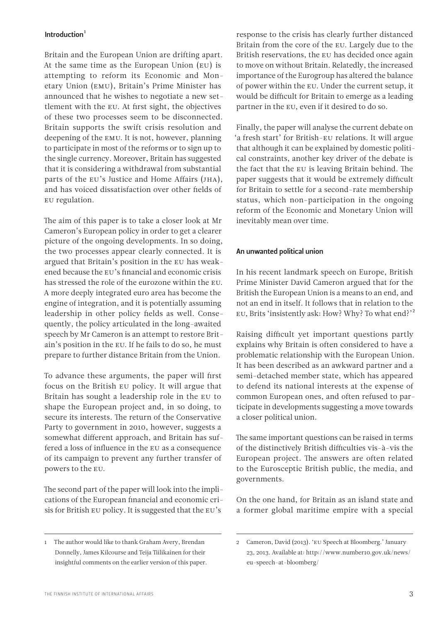#### Introduction $1$

Britain and the European Union are drifting apart. At the same time as the European Union (EU) is attempting to reform its Economic and Monetary Union (EMU), Britain's Prime Minister has announced that he wishes to negotiate a new settlement with the EU. At first sight, the objectives of these two processes seem to be disconnected. Britain supports the swift crisis resolution and deepening of the EMU. It is not, however, planning to participate in most of the reforms or to sign up to the single currency. Moreover, Britain has suggested that it is considering a withdrawal from substantial parts of the EU's Justice and Home Affairs (JHA), and has voiced dissatisfaction over other fields of EU regulation.

The aim of this paper is to take a closer look at Mr Cameron's European policy in order to get a clearer picture of the ongoing developments. In so doing, the two processes appear clearly connected. It is argued that Britain's position in the EU has weakened because the EU's financial and economic crisis has stressed the role of the eurozone within the EU. A more deeply integrated euro area has become the engine of integration, and it is potentially assuming leadership in other policy fields as well. Consequently, the policy articulated in the long-awaited speech by Mr Cameron is an attempt to restore Britain's position in the EU. If he fails to do so, he must prepare to further distance Britain from the Union.

To advance these arguments, the paper will first focus on the British EU policy. It will argue that Britain has sought a leadership role in the EU to shape the European project and, in so doing, to secure its interests. The return of the Conservative Party to government in 2010, however, suggests a somewhat different approach, and Britain has suffered a loss of influence in the EU as a consequence of its campaign to prevent any further transfer of powers to the EU.

The second part of the paper will look into the implications of the European financial and economic crisis for British EU policy. It is suggested that the EU's

response to the crisis has clearly further distanced Britain from the core of the EU. Largely due to the British reservations, the EU has decided once again to move on without Britain. Relatedly, the increased importance of the Eurogroup has altered the balance of power within the EU. Under the current setup, it would be difficult for Britain to emerge as a leading partner in the EU, even if it desired to do so.

Finally, the paper will analyse the current debate on 'a fresh start' for British-EU relations. It will argue that although it can be explained by domestic political constraints, another key driver of the debate is the fact that the EU is leaving Britain behind. The paper suggests that it would be extremely difficult for Britain to settle for a second-rate membership status, which non-participation in the ongoing reform of the Economic and Monetary Union will inevitably mean over time.

#### An unwanted political union

In his recent landmark speech on Europe, British Prime Minister David Cameron argued that for the British the European Union is a means to an end, and not an end in itself. It follows that in relation to the EU, Brits 'insistently ask: How? Why? To what end?'2

Raising difficult yet important questions partly explains why Britain is often considered to have a problematic relationship with the European Union. It has been described as an awkward partner and a semi-detached member state, which has appeared to defend its national interests at the expense of common European ones, and often refused to participate in developments suggesting a move towards a closer political union.

The same important questions can be raised in terms of the distinctively British difficulties vis-à-vis the European project. The answers are often related to the Eurosceptic British public, the media, and governments.

On the one hand, for Britain as an island state and a former global maritime empire with a special

<sup>1</sup> The author would like to thank Graham Avery, Brendan Donnelly, James Kilcourse and Teija Tiilikainen for their insightful comments on the earlier version of this paper.

<sup>2</sup> Cameron, David (2013). 'EU Speech at Bloomberg.' January 23, 2013. Available at: http://www.number10.gov.uk/news/ eu-speech-at-bloomberg/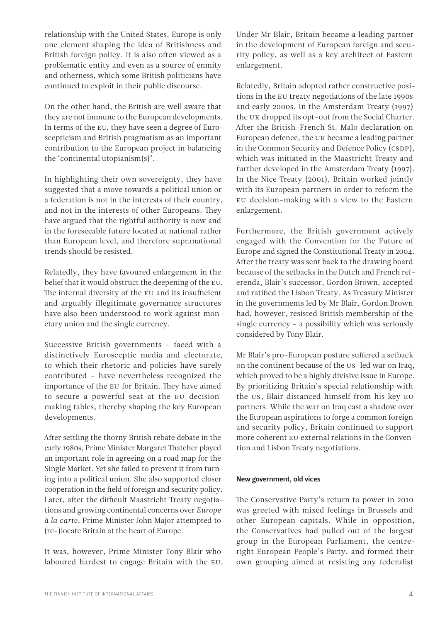relationship with the United States, Europe is only one element shaping the idea of Britishness and British foreign policy. It is also often viewed as a problematic entity and even as a source of enmity and otherness, which some British politicians have continued to exploit in their public discourse.

On the other hand, the British are well aware that they are not immune to the European developments. In terms of the EU, they have seen a degree of Euroscepticism and British pragmatism as an important contribution to the European project in balancing the 'continental utopianism(s)'.

In highlighting their own sovereignty, they have suggested that a move towards a political union or a federation is not in the interests of their country, and not in the interests of other Europeans. They have argued that the rightful authority is now and in the foreseeable future located at national rather than European level, and therefore supranational trends should be resisted.

Relatedly, they have favoured enlargement in the belief that it would obstruct the deepening of the EU. The internal diversity of the EU and its insufficient and arguably illegitimate governance structures have also been understood to work against monetary union and the single currency.

Successive British governments – faced with a distinctively Eurosceptic media and electorate, to which their rhetoric and policies have surely contributed – have nevertheless recognized the importance of the EU for Britain. They have aimed to secure a powerful seat at the EU decisionmaking tables, thereby shaping the key European developments.

After settling the thorny British rebate debate in the early 1980s, Prime Minister Margaret Thatcher played an important role in agreeing on a road map for the Single Market. Yet she failed to prevent it from turning into a political union. She also supported closer cooperation in the field of foreign and security policy. Later, after the difficult Maastricht Treaty negotiations and growing continental concerns over *Europe à la carte*, Prime Minister John Major attempted to (re-)locate Britain at the heart of Europe.

It was, however, Prime Minister Tony Blair who laboured hardest to engage Britain with the EU. Under Mr Blair, Britain became a leading partner in the development of European foreign and security policy, as well as a key architect of Eastern enlargement.

Relatedly, Britain adopted rather constructive positions in the EU treaty negotiations of the late 1990s and early 2000s. In the Amsterdam Treaty (1997) the UK dropped its opt-out from the Social Charter. After the British-French St. Malo declaration on European defence, the UK became a leading partner in the Common Security and Defence Policy (CSDP), which was initiated in the Maastricht Treaty and further developed in the Amsterdam Treaty (1997). In the Nice Treaty (2001), Britain worked jointly with its European partners in order to reform the EU decision-making with a view to the Eastern enlargement.

Furthermore, the British government actively engaged with the Convention for the Future of Europe and signed the Constitutional Treaty in 2004. After the treaty was sent back to the drawing board because of the setbacks in the Dutch and French referenda, Blair's successor, Gordon Brown, accepted and ratified the Lisbon Treaty. As Treasury Minister in the governments led by Mr Blair, Gordon Brown had, however, resisted British membership of the single currency – a possibility which was seriously considered by Tony Blair.

Mr Blair's pro-European posture suffered a setback on the continent because of the US-led war on Iraq, which proved to be a highly divisive issue in Europe. By prioritizing Britain's special relationship with the US, Blair distanced himself from his key EU partners. While the war on Iraq cast a shadow over the European aspirations to forge a common foreign and security policy, Britain continued to support more coherent EU external relations in the Convention and Lisbon Treaty negotiations.

#### New government, old vices

The Conservative Party's return to power in 2010 was greeted with mixed feelings in Brussels and other European capitals. While in opposition, the Conservatives had pulled out of the largest group in the European Parliament, the centreright European People's Party, and formed their own grouping aimed at resisting any federalist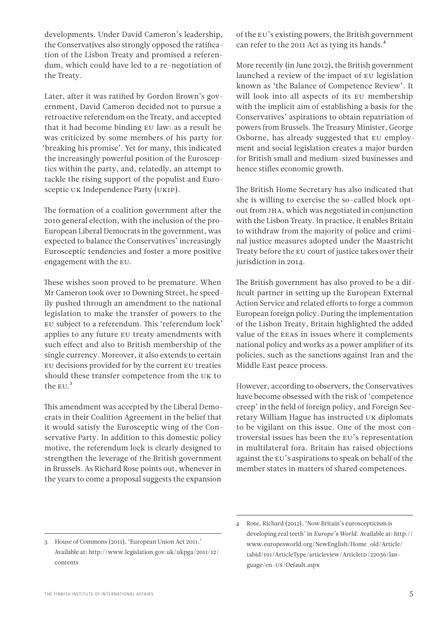developments. Under David Cameron's leadership, the Conservatives also strongly opposed the ratification of the Lisbon Treaty and promised a referendum, which could have led to a re-negotiation of the Treaty.

Later, after it was ratified by Gordon Brown's government, David Cameron decided not to pursue a retroactive referendum on the Treaty, and accepted that it had become binding EU law: as a result he was criticized by some members of his party for 'breaking his promise'. Yet for many, this indicated the increasingly powerful position of the Eurosceptics within the party, and, relatedly, an attempt to tackle the rising support of the populist and Eurosceptic UK Independence Party (UKIP).

The formation of a coalition government after the 2010 general election, with the inclusion of the pro-European Liberal Democrats in the government, was expected to balance the Conservatives' increasingly Eurosceptic tendencies and foster a more positive engagement with the EU.

These wishes soon proved to be premature. When Mr Cameron took over 10 Downing Street, he speedily pushed through an amendment to the national legislation to make the transfer of powers to the EU subject to a referendum. This 'referendum lock' applies to any future EU treaty amendments with such effect and also to British membership of the single currency. Moreover, it also extends to certain EU decisions provided for by the current EU treaties should these transfer competence from the UK to the EU.<sup>3</sup>

This amendment was accepted by the Liberal Democrats in their Coalition Agreement in the belief that it would satisfy the Eurosceptic wing of the Conservative Party. In addition to this domestic policy motive, the referendum lock is clearly designed to strengthen the leverage of the British government in Brussels. As Richard Rose points out, whenever in the years to come a proposal suggests the expansion

of the EU's existing powers, the British government can refer to the 2011 Act as tying its hands.<sup>4</sup>

More recently (in June 2012), the British government launched a review of the impact of EU legislation known as 'the Balance of Competence Review'. It will look into all aspects of its EU membership with the implicit aim of establishing a basis for the Conservatives' aspirations to obtain repatriation of powers from Brussels. The Treasury Minister, George Osborne, has already suggested that EU employment and social legislation creates a major burden for British small and medium-sized businesses and hence stifles economic growth.

The British Home Secretary has also indicated that she is willing to exercise the so-called block optout from JHA, which was negotiated in conjunction with the Lisbon Treaty. In practice, it enables Britain to withdraw from the majority of police and criminal justice measures adopted under the Maastricht Treaty before the EU court of justice takes over their jurisdiction in 2014.

The British government has also proved to be a difficult partner in setting up the European External Action Service and related efforts to forge a common European foreign policy. During the implementation of the Lisbon Treaty, Britain highlighted the added value of the EEAS in issues where it complements national policy and works as a power amplifier of its policies, such as the sanctions against Iran and the Middle East peace process.

However, according to observers, the Conservatives have become obsessed with the risk of 'competence creep' in the field of foreign policy, and Foreign Secretary William Hague has instructed UK diplomats to be vigilant on this issue. One of the most controversial issues has been the EU's representation in multilateral fora. Britain has raised objections against the EU's aspirations to speak on behalf of the member states in matters of shared competences.

<sup>3</sup> House of Commons (2011), 'European Union Act 2011.' Available at: http://www.legislation.gov.uk/ukpga/2011/12/ contents

<sup>4</sup> Rose, Richard (2012), 'Now Britain's euroscepticism is developing real teeth' in *Europe's World*. Available at: http:// www.europesworld.org/NewEnglish/Home\_old/Article/ tabid/191/ArticleType/articleview/ArticleID/22036/language/en-US/Default.aspx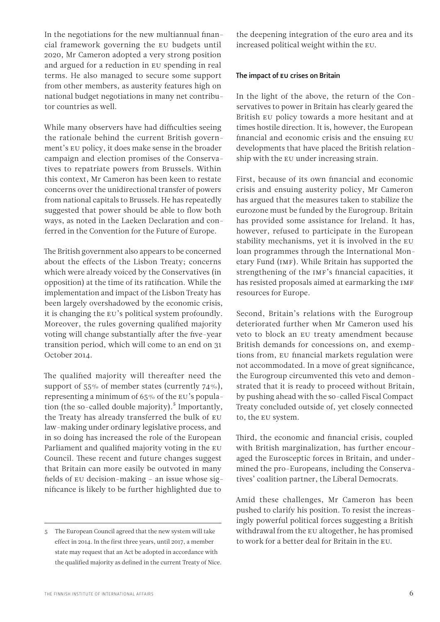In the negotiations for the new multiannual financial framework governing the EU budgets until 2020, Mr Cameron adopted a very strong position and argued for a reduction in EU spending in real terms. He also managed to secure some support from other members, as austerity features high on national budget negotiations in many net contributor countries as well.

While many observers have had difficulties seeing the rationale behind the current British government's EU policy, it does make sense in the broader campaign and election promises of the Conservatives to repatriate powers from Brussels. Within this context, Mr Cameron has been keen to restate concerns over the unidirectional transfer of powers from national capitals to Brussels. He has repeatedly suggested that power should be able to flow both ways, as noted in the Laeken Declaration and conferred in the Convention for the Future of Europe.

The British government also appears to be concerned about the effects of the Lisbon Treaty; concerns which were already voiced by the Conservatives (in opposition) at the time of its ratification. While the implementation and impact of the Lisbon Treaty has been largely overshadowed by the economic crisis, it is changing the EU's political system profoundly. Moreover, the rules governing qualified majority voting will change substantially after the five-year transition period, which will come to an end on 31 October 2014.

The qualified majority will thereafter need the support of 55% of member states (currently 74%), representing a minimum of 65% of the EU's population (the so-called double majority).<sup>5</sup> Importantly, the Treaty has already transferred the bulk of EU law-making under ordinary legislative process, and in so doing has increased the role of the European Parliament and qualified majority voting in the EU Council. These recent and future changes suggest that Britain can more easily be outvoted in many fields of EU decision-making – an issue whose significance is likely to be further highlighted due to

the deepening integration of the euro area and its increased political weight within the EU.

#### The impact of EU crises on Britain

In the light of the above, the return of the Conservatives to power in Britain has clearly geared the British EU policy towards a more hesitant and at times hostile direction. It is, however, the European financial and economic crisis and the ensuing EU developments that have placed the British relationship with the EU under increasing strain.

First, because of its own financial and economic crisis and ensuing austerity policy, Mr Cameron has argued that the measures taken to stabilize the eurozone must be funded by the Eurogroup. Britain has provided some assistance for Ireland. It has, however, refused to participate in the European stability mechanisms, yet it is involved in the EU loan programmes through the International Monetary Fund (IMF). While Britain has supported the strengthening of the IMF's financial capacities, it has resisted proposals aimed at earmarking the IMF resources for Europe.

Second, Britain's relations with the Eurogroup deteriorated further when Mr Cameron used his veto to block an EU treaty amendment because British demands for concessions on, and exemptions from, EU financial markets regulation were not accommodated. In a move of great significance, the Eurogroup circumvented this veto and demonstrated that it is ready to proceed without Britain, by pushing ahead with the so-called Fiscal Compact Treaty concluded outside of, yet closely connected to, the EU system.

Third, the economic and financial crisis, coupled with British marginalization, has further encouraged the Eurosceptic forces in Britain, and undermined the pro-Europeans, including the Conservatives' coalition partner, the Liberal Democrats.

Amid these challenges, Mr Cameron has been pushed to clarify his position. To resist the increasingly powerful political forces suggesting a British withdrawal from the EU altogether, he has promised to work for a better deal for Britain in the EU.

<sup>5</sup> The European Council agreed that the new system will take effect in 2014. In the first three years, until 2017, a member state may request that an Act be adopted in accordance with the qualified majority as defined in the current Treaty of Nice.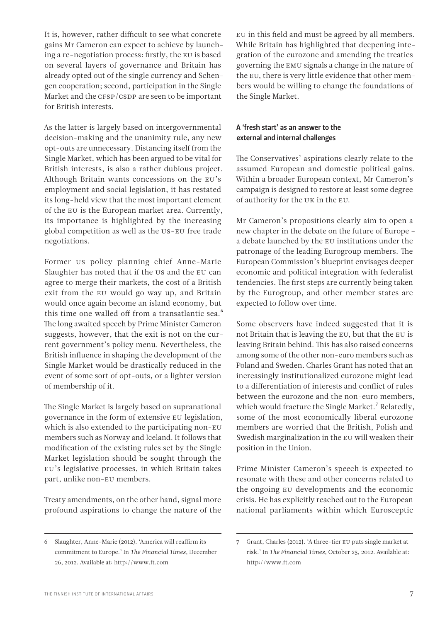It is, however, rather difficult to see what concrete gains Mr Cameron can expect to achieve by launching a re-negotiation process: firstly, the EU is based on several layers of governance and Britain has already opted out of the single currency and Schengen cooperation; second, participation in the Single Market and the CFSP/CSDP are seen to be important for British interests.

As the latter is largely based on intergovernmental decision-making and the unanimity rule, any new opt-outs are unnecessary. Distancing itself from the Single Market, which has been argued to be vital for British interests, is also a rather dubious project. Although Britain wants concessions on the EU's employment and social legislation, it has restated its long-held view that the most important element of the EU is the European market area. Currently, its importance is highlighted by the increasing global competition as well as the US-EU free trade negotiations.

Former US policy planning chief Anne-Marie Slaughter has noted that if the US and the EU can agree to merge their markets, the cost of a British exit from the EU would go way up, and Britain would once again become an island economy, but this time one walled off from a transatlantic sea.<sup>6</sup> The long awaited speech by Prime Minister Cameron suggests, however, that the exit is not on the current government's policy menu. Nevertheless, the British influence in shaping the development of the Single Market would be drastically reduced in the event of some sort of opt-outs, or a lighter version of membership of it.

The Single Market is largely based on supranational governance in the form of extensive EU legislation, which is also extended to the participating non-EU members such as Norway and Iceland. It follows that modification of the existing rules set by the Single Market legislation should be sought through the EU's legislative processes, in which Britain takes part, unlike non-EU members.

Treaty amendments, on the other hand, signal more profound aspirations to change the nature of the EU in this field and must be agreed by all members. While Britain has highlighted that deepening integration of the eurozone and amending the treaties governing the EMU signals a change in the nature of the EU, there is very little evidence that other members would be willing to change the foundations of the Single Market.

#### A 'fresh start' as an answer to the external and internal challenges

The Conservatives' aspirations clearly relate to the assumed European and domestic political gains. Within a broader European context, Mr Cameron's campaign is designed to restore at least some degree of authority for the UK in the EU.

Mr Cameron's propositions clearly aim to open a new chapter in the debate on the future of Europe – a debate launched by the EU institutions under the patronage of the leading Eurogroup members. The European Commission's blueprint envisages deeper economic and political integration with federalist tendencies. The first steps are currently being taken by the Eurogroup, and other member states are expected to follow over time.

Some observers have indeed suggested that it is not Britain that is leaving the EU, but that the EU is leaving Britain behind. This has also raised concerns among some of the other non-euro members such as Poland and Sweden. Charles Grant has noted that an increasingly institutionalized eurozone might lead to a differentiation of interests and conflict of rules between the eurozone and the non-euro members, which would fracture the Single Market.<sup>7</sup> Relatedly, some of the most economically liberal eurozone members are worried that the British, Polish and Swedish marginalization in the EU will weaken their position in the Union.

Prime Minister Cameron's speech is expected to resonate with these and other concerns related to the ongoing EU developments and the economic crisis. He has explicitly reached out to the European national parliaments within which Eurosceptic

<sup>6</sup> Slaughter, Anne-Marie (2012). 'America will reaffirm its commitment to Europe.' In *The Financial Times*, December 26, 2012. Available at: http://www.ft.com

<sup>7</sup> Grant, Charles (2012). 'A three-tier EU puts single market at risk.' In *The Financial Times*, October 25, 2012. Available at: http://www.ft.com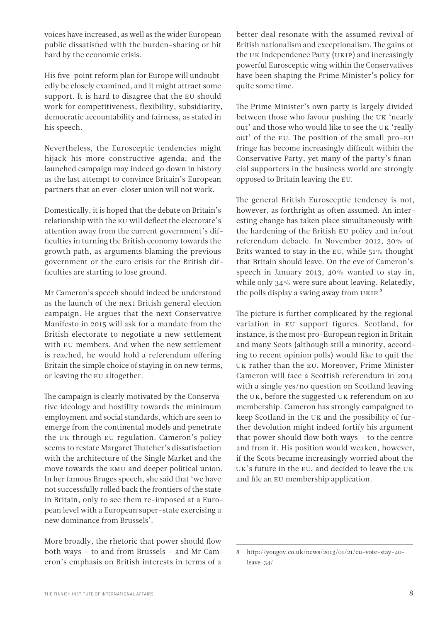voices have increased, as well as the wider European public dissatisfied with the burden-sharing or hit hard by the economic crisis.

His five-point reform plan for Europe will undoubtedly be closely examined, and it might attract some support. It is hard to disagree that the EU should work for competitiveness, flexibility, subsidiarity, democratic accountability and fairness, as stated in his speech.

Nevertheless, the Eurosceptic tendencies might hijack his more constructive agenda; and the launched campaign may indeed go down in history as the last attempt to convince Britain's European partners that an ever-closer union will not work.

Domestically, it is hoped that the debate on Britain's relationship with the EU will deflect the electorate's attention away from the current government's difficulties in turning the British economy towards the growth path, as arguments blaming the previous government or the euro crisis for the British difficulties are starting to lose ground.

Mr Cameron's speech should indeed be understood as the launch of the next British general election campaign. He argues that the next Conservative Manifesto in 2015 will ask for a mandate from the British electorate to negotiate a new settlement with EU members. And when the new settlement is reached, he would hold a referendum offering Britain the simple choice of staying in on new terms, or leaving the EU altogether.

The campaign is clearly motivated by the Conservative ideology and hostility towards the minimum employment and social standards, which are seen to emerge from the continental models and penetrate the UK through EU regulation. Cameron's policy seems to restate Margaret Thatcher's dissatisfaction with the architecture of the Single Market and the move towards the EMU and deeper political union. In her famous Bruges speech, she said that 'we have not successfully rolled back the frontiers of the state in Britain, only to see them re-imposed at a European level with a European super-state exercising a new dominance from Brussels'.

More broadly, the rhetoric that power should flow both ways – to and from Brussels – and Mr Cameron's emphasis on British interests in terms of a

better deal resonate with the assumed revival of British nationalism and exceptionalism. The gains of the UK Independence Party (UKIP) and increasingly powerful Eurosceptic wing within the Conservatives have been shaping the Prime Minister's policy for quite some time.

The Prime Minister's own party is largely divided between those who favour pushing the UK 'nearly out' and those who would like to see the UK 'really out' of the EU. The position of the small pro-EU fringe has become increasingly difficult within the Conservative Party, yet many of the party's financial supporters in the business world are strongly opposed to Britain leaving the EU.

The general British Eurosceptic tendency is not, however, as forthright as often assumed. An interesting change has taken place simultaneously with the hardening of the British EU policy and in/out referendum debacle. In November 2012, 30% of Brits wanted to stay in the EU, while 51% thought that Britain should leave. On the eve of Cameron's speech in January 2013, 40% wanted to stay in, while only 34% were sure about leaving. Relatedly, the polls display a swing away from UKIP.<sup>8</sup>

The picture is further complicated by the regional variation in EU support figures. Scotland, for instance, is the most pro-European region in Britain and many Scots (although still a minority, according to recent opinion polls) would like to quit the UK rather than the EU. Moreover, Prime Minister Cameron will face a Scottish referendum in 2014 with a single yes/no question on Scotland leaving the UK, before the suggested UK referendum on EU membership. Cameron has strongly campaigned to keep Scotland in the UK and the possibility of further devolution might indeed fortify his argument that power should flow both ways – to the centre and from it. His position would weaken, however, if the Scots became increasingly worried about the UK's future in the EU, and decided to leave the UK and file an EU membership application.

<sup>8</sup> http://yougov.co.uk/news/2013/01/21/eu-vote-stay-40 leave-34/